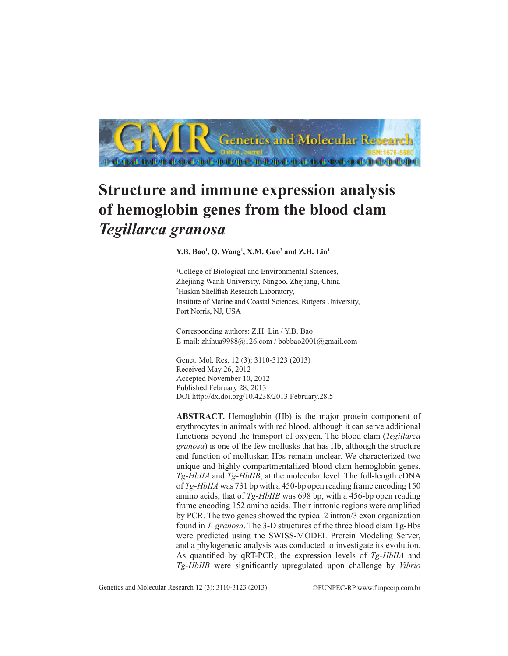

## **Structure and immune expression analysis of hemoglobin genes from the blood clam**  *Tegillarca granosa*

**Y.B. Bao<sup>1</sup>, Q. Wang<sup>1</sup>, X.M. Guo<sup>2</sup> and Z.H. Lin<sup>1</sup>** 

<sup>1</sup>College of Biological and Environmental Sciences, Zhejiang Wanli University, Ningbo, Zhejiang, China 2 Haskin Shellfish Research Laboratory, Institute of Marine and Coastal Sciences, Rutgers University, Port Norris, NJ, USA

Corresponding authors: Z.H. Lin / Y.B. Bao E-mail: zhihua9988@126.com / bobbao2001@gmail.com

Genet. Mol. Res. 12 (3): 3110-3123 (2013) Received May 26, 2012 Accepted November 10, 2012 Published February 28, 2013 DOI http://dx.doi.org/10.4238/2013.February.28.5

**ABSTRACT.** Hemoglobin (Hb) is the major protein component of erythrocytes in animals with red blood, although it can serve additional functions beyond the transport of oxygen. The blood clam (*Tegillarca granosa*) is one of the few mollusks that has Hb, although the structure and function of molluskan Hbs remain unclear. We characterized two unique and highly compartmentalized blood clam hemoglobin genes, *Tg-HbIIA* and *Tg-HbIIB*, at the molecular level. The full-length cDNA of *Tg-HbIIA* was 731 bp with a 450-bp open reading frame encoding 150 amino acids; that of *Tg-HbIIB* was 698 bp, with a 456-bp open reading frame encoding 152 amino acids. Their intronic regions were amplified by PCR. The two genes showed the typical 2 intron/3 exon organization found in *T. granosa*. The 3-D structures of the three blood clam Tg-Hbs were predicted using the SWISS-MODEL Protein Modeling Server, and a phylogenetic analysis was conducted to investigate its evolution. As quantified by qRT-PCR, the expression levels of *Tg-HbIIA* and *Tg-HbIIB* were significantly upregulated upon challenge by *Vibrio* 

Genetics and Molecular Research 12 (3): 3110-3123 (2013) ©FUNPEC-RP www.funpecrp.com.br